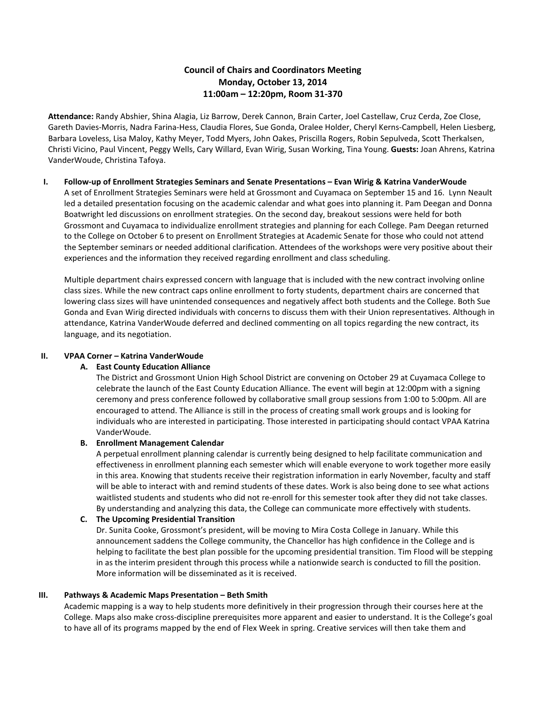# **Council of Chairs and Coordinators Meeting Monday, October 13, 2014 11:00am – 12:20pm, Room 31-370**

**Attendance:** Randy Abshier, Shina Alagia, Liz Barrow, Derek Cannon, Brain Carter, Joel Castellaw, Cruz Cerda, Zoe Close, Gareth Davies-Morris, Nadra Farina-Hess, Claudia Flores, Sue Gonda, Oralee Holder, Cheryl Kerns-Campbell, Helen Liesberg, Barbara Loveless, Lisa Maloy, Kathy Meyer, Todd Myers, John Oakes, Priscilla Rogers, Robin Sepulveda, Scott Therkalsen, Christi Vicino, Paul Vincent, Peggy Wells, Cary Willard, Evan Wirig, Susan Working, Tina Young. **Guests:** Joan Ahrens, Katrina VanderWoude, Christina Tafoya.

#### **I. Follow-up of Enrollment Strategies Seminars and Senate Presentations – Evan Wirig & Katrina VanderWoude**

A set of Enrollment Strategies Seminars were held at Grossmont and Cuyamaca on September 15 and 16. Lynn Neault led a detailed presentation focusing on the academic calendar and what goes into planning it. Pam Deegan and Donna Boatwright led discussions on enrollment strategies. On the second day, breakout sessions were held for both Grossmont and Cuyamaca to individualize enrollment strategies and planning for each College. Pam Deegan returned to the College on October 6 to present on Enrollment Strategies at Academic Senate for those who could not attend the September seminars or needed additional clarification. Attendees of the workshops were very positive about their experiences and the information they received regarding enrollment and class scheduling.

Multiple department chairs expressed concern with language that is included with the new contract involving online class sizes. While the new contract caps online enrollment to forty students, department chairs are concerned that lowering class sizes will have unintended consequences and negatively affect both students and the College. Both Sue Gonda and Evan Wirig directed individuals with concerns to discuss them with their Union representatives. Although in attendance, Katrina VanderWoude deferred and declined commenting on all topics regarding the new contract, its language, and its negotiation.

#### **II. VPAA Corner – Katrina VanderWoude**

# **A. East County Education Alliance**

The District and Grossmont Union High School District are convening on October 29 at Cuyamaca College to celebrate the launch of the East County Education Alliance. The event will begin at 12:00pm with a signing ceremony and press conference followed by collaborative small group sessions from 1:00 to 5:00pm. All are encouraged to attend. The Alliance is still in the process of creating small work groups and is looking for individuals who are interested in participating. Those interested in participating should contact VPAA Katrina VanderWoude.

#### **B. Enrollment Management Calendar**

A perpetual enrollment planning calendar is currently being designed to help facilitate communication and effectiveness in enrollment planning each semester which will enable everyone to work together more easily in this area. Knowing that students receive their registration information in early November, faculty and staff will be able to interact with and remind students of these dates. Work is also being done to see what actions waitlisted students and students who did not re-enroll for this semester took after they did not take classes. By understanding and analyzing this data, the College can communicate more effectively with students.

# **C. The Upcoming Presidential Transition**

Dr. Sunita Cooke, Grossmont's president, will be moving to Mira Costa College in January. While this announcement saddens the College community, the Chancellor has high confidence in the College and is helping to facilitate the best plan possible for the upcoming presidential transition. Tim Flood will be stepping in as the interim president through this process while a nationwide search is conducted to fill the position. More information will be disseminated as it is received.

#### **III. Pathways & Academic Maps Presentation – Beth Smith**

Academic mapping is a way to help students more definitively in their progression through their courses here at the College. Maps also make cross-discipline prerequisites more apparent and easier to understand. It is the College's goal to have all of its programs mapped by the end of Flex Week in spring. Creative services will then take them and